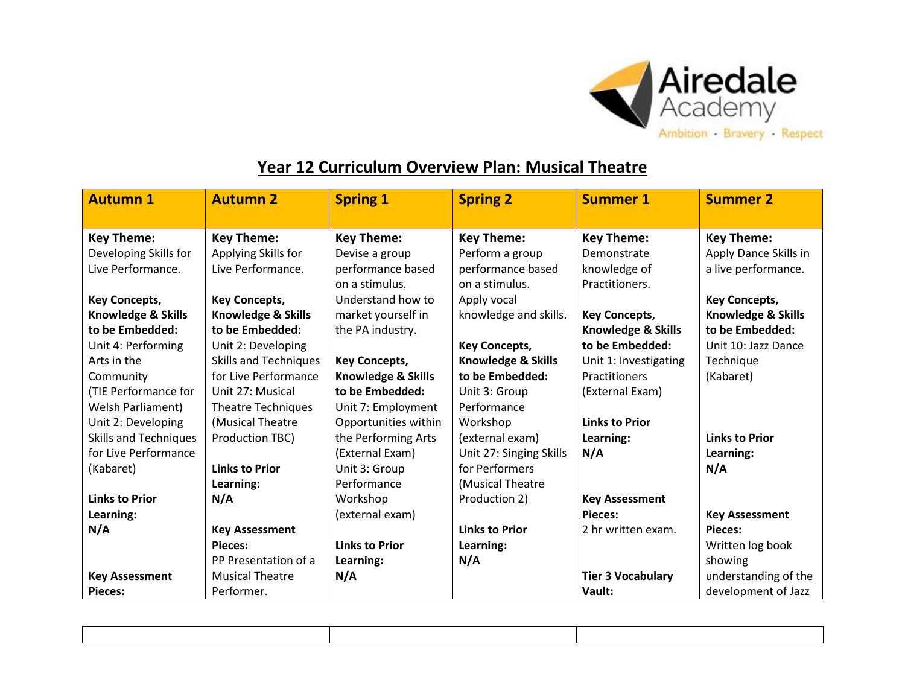

## **Year 12 Curriculum Overview Plan: Musical Theatre**

| <b>Autumn 1</b>                            | <b>Autumn 2</b>                          | <b>Spring 1</b>               | <b>Spring 2</b>         | <b>Summer 1</b>          | <b>Summer 2</b>               |
|--------------------------------------------|------------------------------------------|-------------------------------|-------------------------|--------------------------|-------------------------------|
| <b>Key Theme:</b>                          | <b>Key Theme:</b>                        | <b>Key Theme:</b>             | <b>Key Theme:</b>       | <b>Key Theme:</b>        | <b>Key Theme:</b>             |
|                                            |                                          |                               | Perform a group         | Demonstrate              |                               |
| Developing Skills for<br>Live Performance. | Applying Skills for<br>Live Performance. | Devise a group                |                         |                          | Apply Dance Skills in         |
|                                            |                                          | performance based             | performance based       | knowledge of             | a live performance.           |
|                                            |                                          | on a stimulus.                | on a stimulus.          | Practitioners.           |                               |
| <b>Key Concepts,</b>                       | <b>Key Concepts,</b>                     | Understand how to             | Apply vocal             |                          | <b>Key Concepts,</b>          |
| <b>Knowledge &amp; Skills</b>              | <b>Knowledge &amp; Skills</b>            | market yourself in            | knowledge and skills.   | <b>Key Concepts,</b>     | <b>Knowledge &amp; Skills</b> |
| to be Embedded:                            | to be Embedded:                          | the PA industry.              |                         | Knowledge & Skills       | to be Embedded:               |
| Unit 4: Performing                         | Unit 2: Developing                       |                               | <b>Key Concepts,</b>    | to be Embedded:          | Unit 10: Jazz Dance           |
| Arts in the                                | <b>Skills and Techniques</b>             | <b>Key Concepts,</b>          | Knowledge & Skills      | Unit 1: Investigating    | Technique                     |
| Community                                  | for Live Performance                     | <b>Knowledge &amp; Skills</b> | to be Embedded:         | Practitioners            | (Kabaret)                     |
| (TIE Performance for                       | Unit 27: Musical                         | to be Embedded:               | Unit 3: Group           | (External Exam)          |                               |
| <b>Welsh Parliament)</b>                   | <b>Theatre Techniques</b>                | Unit 7: Employment            | Performance             |                          |                               |
| Unit 2: Developing                         | (Musical Theatre                         | Opportunities within          | Workshop                | <b>Links to Prior</b>    |                               |
| <b>Skills and Techniques</b>               | Production TBC)                          | the Performing Arts           | (external exam)         | Learning:                | <b>Links to Prior</b>         |
| for Live Performance                       |                                          | (External Exam)               | Unit 27: Singing Skills | N/A                      | Learning:                     |
| (Kabaret)                                  | <b>Links to Prior</b>                    | Unit 3: Group                 | for Performers          |                          | N/A                           |
|                                            | Learning:                                | Performance                   | (Musical Theatre        |                          |                               |
| <b>Links to Prior</b>                      | N/A                                      | Workshop                      | Production 2)           | <b>Key Assessment</b>    |                               |
| Learning:                                  |                                          | (external exam)               |                         | Pieces:                  | <b>Key Assessment</b>         |
| N/A                                        | <b>Key Assessment</b>                    |                               | <b>Links to Prior</b>   | 2 hr written exam.       | Pieces:                       |
|                                            | Pieces:                                  | <b>Links to Prior</b>         | Learning:               |                          | Written log book              |
|                                            | PP Presentation of a                     | Learning:                     | N/A                     |                          | showing                       |
| <b>Key Assessment</b>                      | <b>Musical Theatre</b>                   | N/A                           |                         | <b>Tier 3 Vocabulary</b> | understanding of the          |
| <b>Pieces:</b>                             | Performer.                               |                               |                         | Vault:                   | development of Jazz           |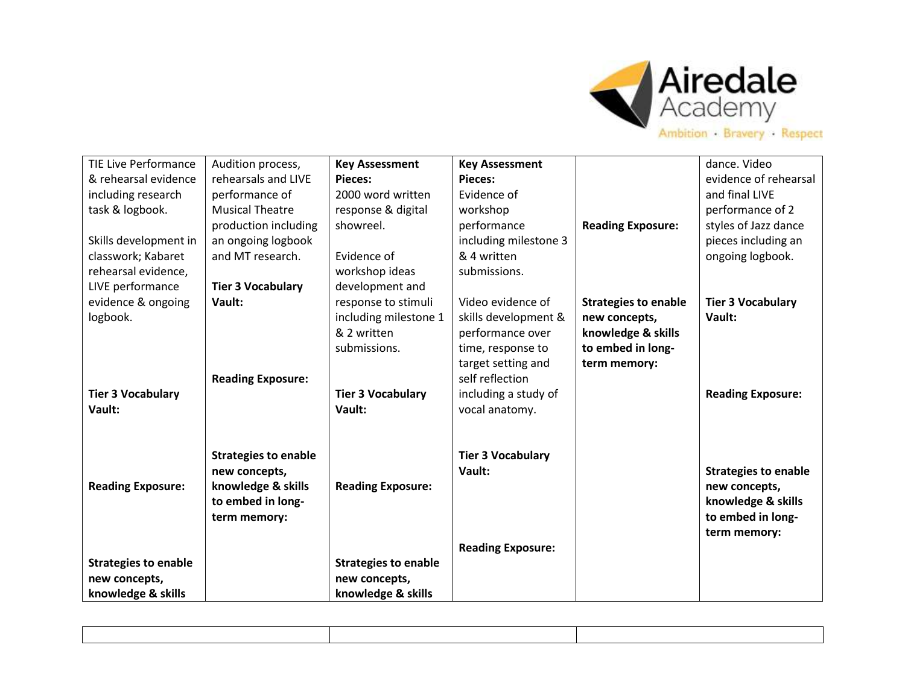

| <b>TIE Live Performance</b> | Audition process,           | <b>Key Assessment</b>       | <b>Key Assessment</b>    |                             | dance. Video                |
|-----------------------------|-----------------------------|-----------------------------|--------------------------|-----------------------------|-----------------------------|
| & rehearsal evidence        | rehearsals and LIVE         | Pieces:                     | Pieces:                  |                             | evidence of rehearsal       |
| including research          | performance of              | 2000 word written           | Evidence of              |                             | and final LIVE              |
| task & logbook.             | <b>Musical Theatre</b>      | response & digital          | workshop                 |                             | performance of 2            |
|                             | production including        | showreel.                   | performance              | <b>Reading Exposure:</b>    | styles of Jazz dance        |
| Skills development in       | an ongoing logbook          |                             | including milestone 3    |                             | pieces including an         |
| classwork; Kabaret          | and MT research.            | Evidence of                 | & 4 written              |                             | ongoing logbook.            |
| rehearsal evidence,         |                             | workshop ideas              | submissions.             |                             |                             |
| LIVE performance            | <b>Tier 3 Vocabulary</b>    | development and             |                          |                             |                             |
| evidence & ongoing          | Vault:                      | response to stimuli         | Video evidence of        | <b>Strategies to enable</b> | <b>Tier 3 Vocabulary</b>    |
| logbook.                    |                             | including milestone 1       | skills development &     | new concepts,               | Vault:                      |
|                             |                             | & 2 written                 | performance over         | knowledge & skills          |                             |
|                             |                             | submissions.                | time, response to        | to embed in long-           |                             |
|                             |                             |                             | target setting and       | term memory:                |                             |
|                             | <b>Reading Exposure:</b>    |                             | self reflection          |                             |                             |
| <b>Tier 3 Vocabulary</b>    |                             | <b>Tier 3 Vocabulary</b>    | including a study of     |                             | <b>Reading Exposure:</b>    |
| Vault:                      |                             | Vault:                      | vocal anatomy.           |                             |                             |
|                             |                             |                             |                          |                             |                             |
|                             |                             |                             |                          |                             |                             |
|                             | <b>Strategies to enable</b> |                             | <b>Tier 3 Vocabulary</b> |                             |                             |
|                             | new concepts,               |                             | Vault:                   |                             | <b>Strategies to enable</b> |
| <b>Reading Exposure:</b>    | knowledge & skills          | <b>Reading Exposure:</b>    |                          |                             | new concepts,               |
|                             | to embed in long-           |                             |                          |                             | knowledge & skills          |
|                             | term memory:                |                             |                          |                             | to embed in long-           |
|                             |                             |                             |                          |                             | term memory:                |
|                             |                             |                             | <b>Reading Exposure:</b> |                             |                             |
| <b>Strategies to enable</b> |                             | <b>Strategies to enable</b> |                          |                             |                             |
| new concepts,               |                             | new concepts,               |                          |                             |                             |
| knowledge & skills          |                             | knowledge & skills          |                          |                             |                             |